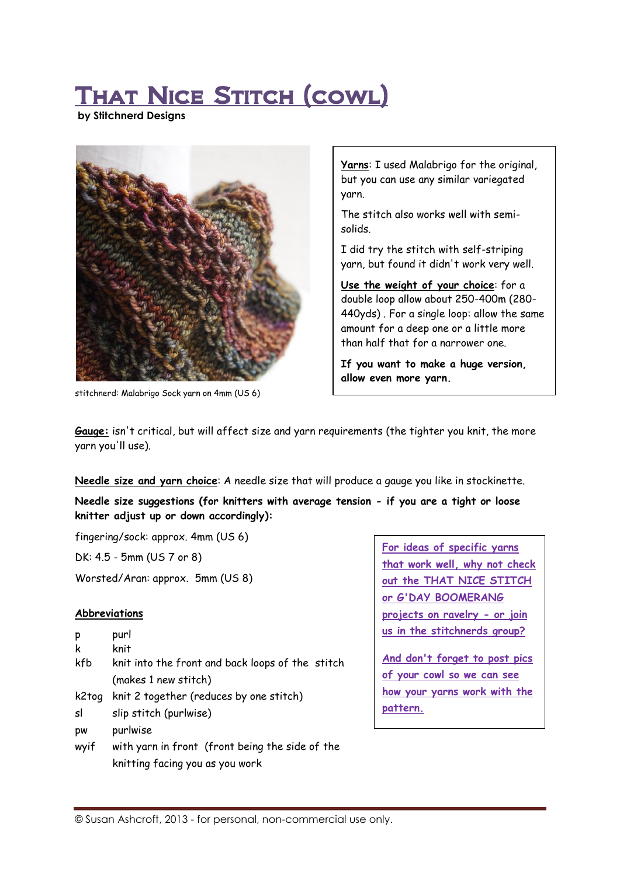# THAT NICE STITCH (COWL)

**by Stitchnerd Designs**



stitchnerd: Malabrigo Sock yarn on 4mm (US 6)

**Yarns**: I used Malabrigo for the original, but you can use any similar variegated yarn.

The stitch also works well with semisolids.

I did try the stitch with self-striping yarn, but found it didn't work very well.

**Use the weight of your choice**: for a double loop allow about 250-400m (280- 440yds) . For a single loop: allow the same amount for a deep one or a little more than half that for a narrower one.

**If you want to make a huge version, allow even more yarn.** 

**Sizing suggestions/info on page 3.** 

**Gauge:** isn't critical, but will affect size and yarn requirements (the tighter you knit, the more yarn you'll use).

**Needle size and yarn choice**: A needle size that will produce a gauge you like in stockinette.

**Needle size suggestions (for knitters with average tension - if you are a tight or loose knitter adjust up or down accordingly):**

fingering/sock: approx. 4mm (US 6)

DK: 4.5 - 5mm (US 7 or 8)

Worsted/Aran: approx. 5mm (US 8)

# **Abbreviations**

| р | purl |
|---|------|
| k | knit |

- kfb knit into the front and back loops of the stitch (makes 1 new stitch)
- k2tog knit 2 together (reduces by one stitch)
- sl slip stitch (purlwise)
- pw purlwise
- wyif with yarn in front (front being the side of the knitting facing you as you work

**For ideas of specific yarns that work well, why not check out the THAT NICE STITCH or G'DAY BOOMERANG projects on ravelry - or join us in the stitchnerds group?**

**And don't forget to post pics of your cowl so we can see how your yarns work with the pattern.**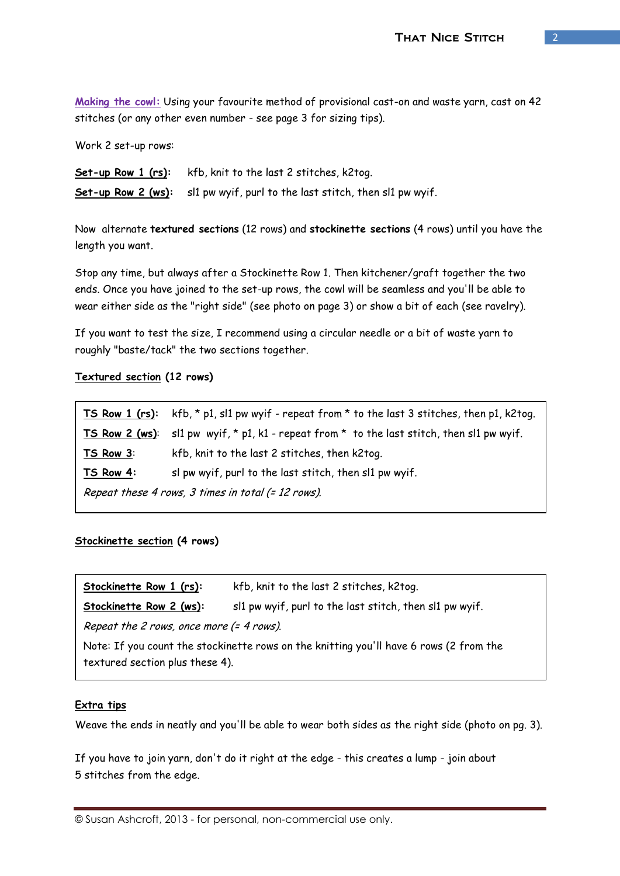**Making the cowl:** Using your favourite method of provisional cast-on and waste yarn, cast on 42 stitches (or any other even number - see page 3 for sizing tips).

Work 2 set-up rows:

**Set-up Row 1 (rs):** kfb, knit to the last 2 stitches, k2tog. **Set-up Row 2 (ws):** sl1 pw wyif, purl to the last stitch, then sl1 pw wyif.

Now alternate **textured sections** (12 rows) and **stockinette sections** (4 rows) until you have the length you want.

Stop any time, but always after a Stockinette Row 1. Then kitchener/graft together the two ends. Once you have joined to the set-up rows, the cowl will be seamless and you'll be able to wear either side as the "right side" (see photo on page 3) or show a bit of each (see ravelry).

If you want to test the size, I recommend using a circular needle or a bit of waste yarn to roughly "baste/tack" the two sections together.

## **Textured section (12 rows)**

**TS Row 1 (rs):** kfb, \* p1, sl1 pw wyif - repeat from \* to the last 3 stitches, then p1, k2tog. **TS Row 2 (ws)**: sl1 pw wyif, \* p1, k1 - repeat from \* to the last stitch, then sl1 pw wyif. **TS Row 3**: kfb, knit to the last 2 stitches, then k2tog. **TS Row 4:** sl pw wyif, purl to the last stitch, then sl1 pw wyif. Repeat these 4 rows, 3 times in total (= 12 rows).

## **Stockinette section (4 rows)**

| Stockinette Row 1 (rs):                                                                                                   | kfb, knit to the last 2 stitches, k2tog.                |
|---------------------------------------------------------------------------------------------------------------------------|---------------------------------------------------------|
| Stockinette Row 2 (ws):                                                                                                   | sl1 pw wyif, purl to the last stitch, then sl1 pw wyif. |
| Repeat the 2 rows, once more (= 4 rows).                                                                                  |                                                         |
| Note: If you count the stockinette rows on the knitting you'll have 6 rows (2 from the<br>textured section plus these 4). |                                                         |

## **Extra tips**

Weave the ends in neatly and you'll be able to wear both sides as the right side (photo on pg. 3).

If you have to join yarn, don't do it right at the edge - this creates a lump - join about 5 stitches from the edge.